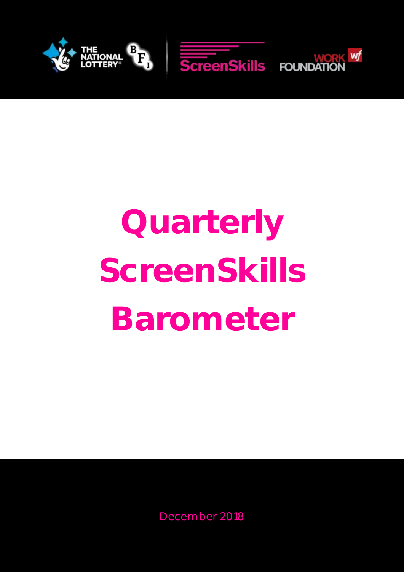

# **Quarterly ScreenSkills Barometer**

December 2018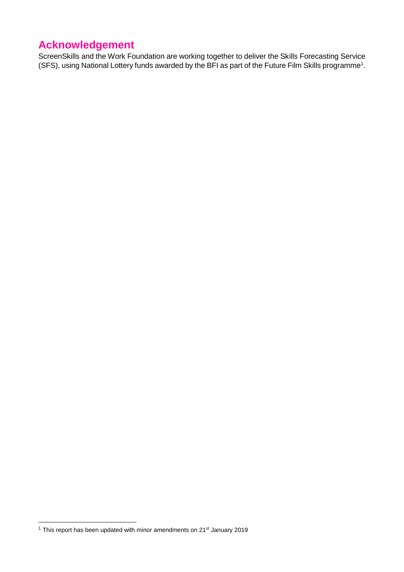# **Acknowledgement**

ScreenSkills and the Work Foundation are working together to deliver the Skills Forecasting Service (SFS), using National Lottery funds awarded by the BFI as part of the Future Film Skills programme<sup>1</sup>.

-

<sup>&</sup>lt;sup>1</sup> This report has been updated with minor amendments on 21<sup>st</sup> January 2019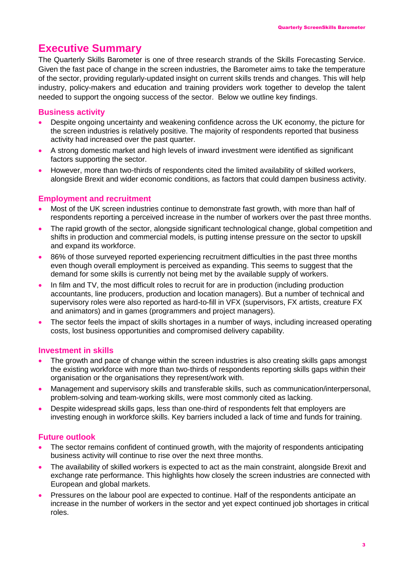# **Executive Summary**

The Quarterly Skills Barometer is one of three research strands of the Skills Forecasting Service. Given the fast pace of change in the screen industries, the Barometer aims to take the temperature of the sector, providing regularly-updated insight on current skills trends and changes. This will help industry, policy-makers and education and training providers work together to develop the talent needed to support the ongoing success of the sector. Below we outline key findings.

## **Business activity**

- Despite ongoing uncertainty and weakening confidence across the UK economy, the picture for the screen industries is relatively positive. The majority of respondents reported that business activity had increased over the past quarter.
- A strong domestic market and high levels of inward investment were identified as significant factors supporting the sector.
- However, more than two-thirds of respondents cited the limited availability of skilled workers, alongside Brexit and wider economic conditions, as factors that could dampen business activity.

## **Employment and recruitment**

- Most of the UK screen industries continue to demonstrate fast growth, with more than half of respondents reporting a perceived increase in the number of workers over the past three months.
- The rapid growth of the sector, alongside significant technological change, global competition and shifts in production and commercial models, is putting intense pressure on the sector to upskill and expand its workforce.
- 86% of those surveyed reported experiencing recruitment difficulties in the past three months even though overall employment is perceived as expanding. This seems to suggest that the demand for some skills is currently not being met by the available supply of workers.
- In film and TV, the most difficult roles to recruit for are in production (including production accountants, line producers, production and location managers). But a number of technical and supervisory roles were also reported as hard-to-fill in VFX (supervisors, FX artists, creature FX and animators) and in games (programmers and project managers).
- The sector feels the impact of skills shortages in a number of ways, including increased operating costs, lost business opportunities and compromised delivery capability.

#### **Investment in skills**

- The growth and pace of change within the screen industries is also creating skills gaps amongst the existing workforce with more than two-thirds of respondents reporting skills gaps within their organisation or the organisations they represent/work with.
- Management and supervisory skills and transferable skills, such as communication/interpersonal, problem-solving and team-working skills, were most commonly cited as lacking.
- Despite widespread skills gaps, less than one-third of respondents felt that employers are investing enough in workforce skills. Key barriers included a lack of time and funds for training.

## **Future outlook**

- The sector remains confident of continued growth, with the majority of respondents anticipating business activity will continue to rise over the next three months.
- The availability of skilled workers is expected to act as the main constraint, alongside Brexit and exchange rate performance. This highlights how closely the screen industries are connected with European and global markets.
- Pressures on the labour pool are expected to continue. Half of the respondents anticipate an increase in the number of workers in the sector and yet expect continued job shortages in critical roles.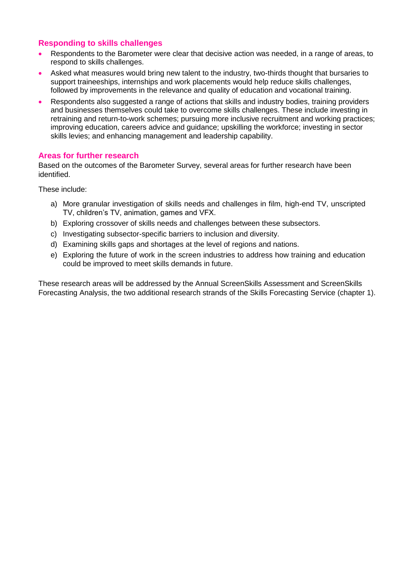## **Responding to skills challenges**

- Respondents to the Barometer were clear that decisive action was needed, in a range of areas, to respond to skills challenges.
- Asked what measures would bring new talent to the industry, two-thirds thought that bursaries to support traineeships, internships and work placements would help reduce skills challenges, followed by improvements in the relevance and quality of education and vocational training.
- Respondents also suggested a range of actions that skills and industry bodies, training providers and businesses themselves could take to overcome skills challenges. These include investing in retraining and return-to-work schemes; pursuing more inclusive recruitment and working practices; improving education, careers advice and guidance; upskilling the workforce; investing in sector skills levies; and enhancing management and leadership capability.

#### **Areas for further research**

Based on the outcomes of the Barometer Survey, several areas for further research have been identified.

These include:

- a) More granular investigation of skills needs and challenges in film, high-end TV, unscripted TV, children's TV, animation, games and VFX.
- b) Exploring crossover of skills needs and challenges between these subsectors.
- c) Investigating subsector-specific barriers to inclusion and diversity.
- d) Examining skills gaps and shortages at the level of regions and nations.
- e) Exploring the future of work in the screen industries to address how training and education could be improved to meet skills demands in future.

These research areas will be addressed by the Annual ScreenSkills Assessment and ScreenSkills Forecasting Analysis, the two additional research strands of the Skills Forecasting Service (chapter 1).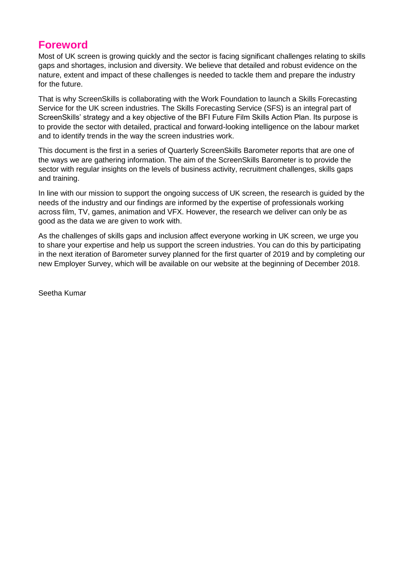## **Foreword**

Most of UK screen is growing quickly and the sector is facing significant challenges relating to skills gaps and shortages, inclusion and diversity. We believe that detailed and robust evidence on the nature, extent and impact of these challenges is needed to tackle them and prepare the industry for the future.

That is why ScreenSkills is collaborating with the Work Foundation to launch a Skills Forecasting Service for the UK screen industries. The Skills Forecasting Service (SFS) is an integral part of ScreenSkills' strategy and a key objective of the BFI Future Film Skills Action Plan. Its purpose is to provide the sector with detailed, practical and forward-looking intelligence on the labour market and to identify trends in the way the screen industries work.

This document is the first in a series of Quarterly ScreenSkills Barometer reports that are one of the ways we are gathering information. The aim of the ScreenSkills Barometer is to provide the sector with regular insights on the levels of business activity, recruitment challenges, skills gaps and training.

In line with our mission to support the ongoing success of UK screen, the research is guided by the needs of the industry and our findings are informed by the expertise of professionals working across film, TV, games, animation and VFX. However, the research we deliver can only be as good as the data we are given to work with.

As the challenges of skills gaps and inclusion affect everyone working in UK screen, we urge you to share your expertise and help us support the screen industries. You can do this by participating in the next iteration of Barometer survey planned for the first quarter of 2019 and by completing our new Employer Survey, which will be available on our website at the beginning of December 2018.

Seetha Kumar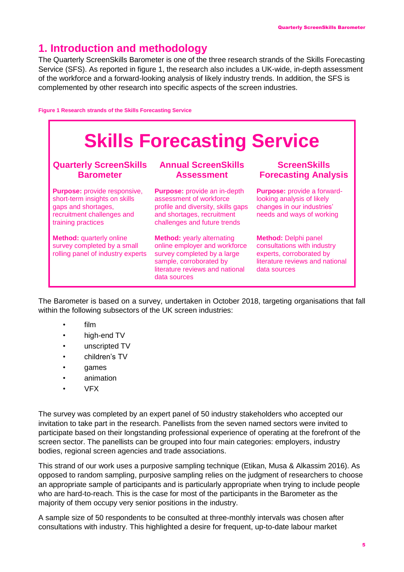# **1. Introduction and methodology**

The Quarterly ScreenSkills Barometer is one of the three research strands of the Skills Forecasting Service (SFS). As reported in figure 1, the research also includes a UK-wide, in-depth assessment of the workforce and a forward-looking analysis of likely industry trends. In addition, the SFS is complemented by other research into specific aspects of the screen industries.

**Figure 1 Research strands of the Skills Forecasting Service**



The Barometer is based on a survey, undertaken in October 2018, targeting organisations that fall within the following subsectors of the UK screen industries:

- film
- high-end TV
- unscripted TV
- children's TV
- games
- animation
- VFX

The survey was completed by an expert panel of 50 industry stakeholders who accepted our invitation to take part in the research. Panellists from the seven named sectors were invited to participate based on their longstanding professional experience of operating at the forefront of the screen sector. The panellists can be grouped into four main categories: employers, industry bodies, regional screen agencies and trade associations.

This strand of our work uses a purposive sampling technique (Etikan, Musa & Alkassim 2016). As opposed to random sampling, purposive sampling relies on the judgment of researchers to choose an appropriate sample of participants and is particularly appropriate when trying to include people who are hard-to-reach. This is the case for most of the participants in the Barometer as the majority of them occupy very senior positions in the industry.

A sample size of 50 respondents to be consulted at three-monthly intervals was chosen after consultations with industry. This highlighted a desire for frequent, up-to-date labour market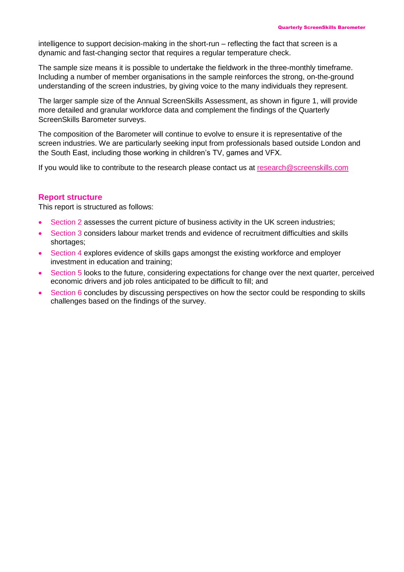intelligence to support decision-making in the short-run – reflecting the fact that screen is a dynamic and fast-changing sector that requires a regular temperature check.

The sample size means it is possible to undertake the fieldwork in the three-monthly timeframe. Including a number of member organisations in the sample reinforces the strong, on-the-ground understanding of the screen industries, by giving voice to the many individuals they represent.

The larger sample size of the Annual ScreenSkills Assessment, as shown in figure 1, will provide more detailed and granular workforce data and complement the findings of the Quarterly ScreenSkills Barometer surveys.

The composition of the Barometer will continue to evolve to ensure it is representative of the screen industries. We are particularly seeking input from professionals based outside London and the South East, including those working in children's TV, games and VFX.

If you would like to contribute to the research please contact us at research@screenskills.com

#### **Report structure**

This report is structured as follows:

- Section 2 assesses the current picture of business activity in the UK screen industries;
- Section 3 considers labour market trends and evidence of recruitment difficulties and skills shortages;
- Section 4 explores evidence of skills gaps amongst the existing workforce and employer investment in education and training;
- Section 5 looks to the future, considering expectations for change over the next quarter, perceived economic drivers and job roles anticipated to be difficult to fill; and
- Section 6 concludes by discussing perspectives on how the sector could be responding to skills challenges based on the findings of the survey.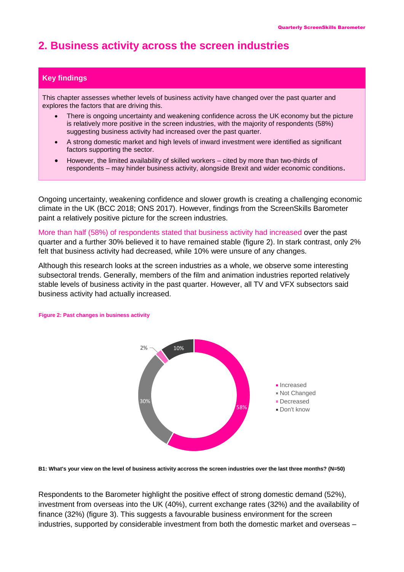# **2. Business activity across the screen industries**

#### **Key findings**

This chapter assesses whether levels of business activity have changed over the past quarter and explores the factors that are driving this.

- There is ongoing uncertainty and weakening confidence across the UK economy but the picture is relatively more positive in the screen industries, with the majority of respondents (58%) suggesting business activity had increased over the past quarter.
- A strong domestic market and high levels of inward investment were identified as significant factors supporting the sector.
- However, the limited availability of skilled workers cited by more than two-thirds of respondents – may hinder business activity, alongside Brexit and wider economic conditions**.**

Ongoing uncertainty, weakening confidence and slower growth is creating a challenging economic climate in the UK (BCC 2018; ONS 2017). However, findings from the ScreenSkills Barometer paint a relatively positive picture for the screen industries.

More than half (58%) of respondents stated that business activity had increased over the past quarter and a further 30% believed it to have remained stable (figure 2). In stark contrast, only 2% felt that business activity had decreased, while 10% were unsure of any changes.

Although this research looks at the screen industries as a whole, we observe some interesting subsectoral trends. Generally, members of the film and animation industries reported relatively stable levels of business activity in the past quarter. However, all TV and VFX subsectors said business activity had actually increased.



#### **Figure 2: Past changes in business activity**

**B1: What's your view on the level of business activity accross the screen industries over the last three months? (N=50)**

Respondents to the Barometer highlight the positive effect of strong domestic demand (52%), investment from overseas into the UK (40%), current exchange rates (32%) and the availability of finance (32%) (figure 3). This suggests a favourable business environment for the screen industries, supported by considerable investment from both the domestic market and overseas –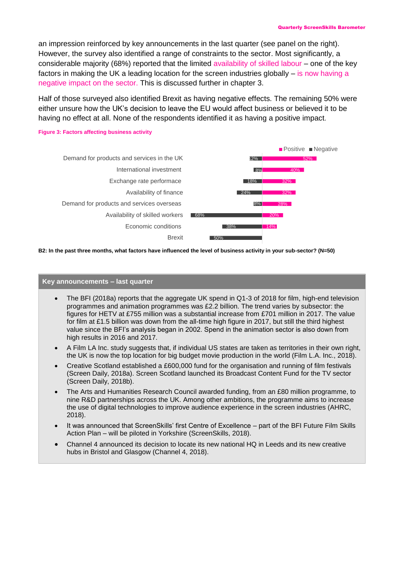an impression reinforced by key announcements in the last quarter (see panel on the right). However, the survey also identified a range of constraints to the sector. Most significantly, a considerable majority (68%) reported that the limited availability of skilled labour – one of the key factors in making the UK a leading location for the screen industries globally – is now having a negative impact on the sector. This is discussed further in chapter 3.

Half of those surveyed also identified Brexit as having negative effects. The remaining 50% were either unsure how the UK's decision to leave the EU would affect business or believed it to be having no effect at all. None of the respondents identified it as having a positive impact.

#### 14% 20% 28% 32% 32% 40% 52% 50% 38% 68% 8%  $24%$ 18% 8% 12% Brexit Economic conditions Availability of skilled workers Demand for products and services overseas Availability of finance Exchange rate performace International investment Demand for products and services in the UK **Positive Negative**

**B2: In the past three months, what factors have influenced the level of business activity in your sub-sector? (N=50)**

#### **Key announcements – last quarter**

- The BFI (2018a) reports that the aggregate UK spend in Q1-3 of 2018 for film, high-end television programmes and animation programmes was £2.2 billion. The trend varies by subsector: the figures for HETV at £755 million was a substantial increase from £701 million in 2017. The value for film at £1.5 billion was down from the all-time high figure in 2017, but still the third highest value since the BFI's analysis began in 2002. Spend in the animation sector is also down from high results in 2016 and 2017.
- A Film LA Inc. study suggests that, if individual US states are taken as territories in their own right, the UK is now the top location for big budget movie production in the world (Film L.A. Inc., 2018).
- Creative Scotland established a £600,000 fund for the organisation and running of film festivals (Screen Daily, 2018a). Screen Scotland launched its Broadcast Content Fund for the TV sector (Screen Daily, 2018b).
- The Arts and Humanities Research Council awarded funding, from an £80 million programme, to nine R&D partnerships across the UK. Among other ambitions, the programme aims to increase the use of digital technologies to improve audience experience in the screen industries (AHRC, 2018).
- It was announced that ScreenSkills' first Centre of Excellence part of the BFI Future Film Skills Action Plan – will be piloted in Yorkshire (ScreenSkills, 2018).
- Channel 4 announced its decision to locate its new national HQ in Leeds and its new creative hubs in Bristol and Glasgow (Channel 4, 2018).

#### **Figure 3: Factors affecting business activity**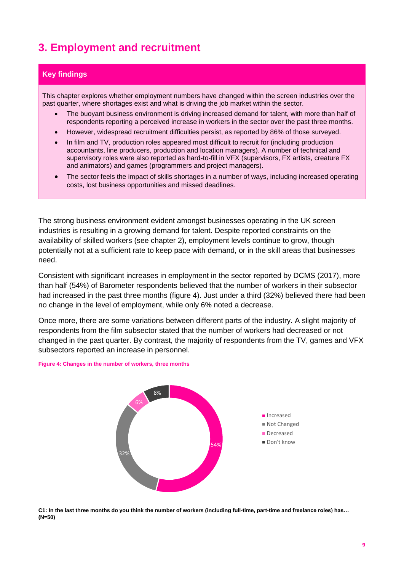# **3. Employment and recruitment**

#### **Key findings**

This chapter explores whether employment numbers have changed within the screen industries over the past quarter, where shortages exist and what is driving the job market within the sector.

- The buoyant business environment is driving increased demand for talent, with more than half of respondents reporting a perceived increase in workers in the sector over the past three months.
- However, widespread recruitment difficulties persist, as reported by 86% of those surveyed.
- In film and TV, production roles appeared most difficult to recruit for (including production accountants, line producers, production and location managers). A number of technical and supervisory roles were also reported as hard-to-fill in VFX (supervisors, FX artists, creature FX and animators) and games (programmers and project managers).
- The sector feels the impact of skills shortages in a number of ways, including increased operating costs, lost business opportunities and missed deadlines.

The strong business environment evident amongst businesses operating in the UK screen industries is resulting in a growing demand for talent. Despite reported constraints on the availability of skilled workers (see chapter 2), employment levels continue to grow, though potentially not at a sufficient rate to keep pace with demand, or in the skill areas that businesses need.

Consistent with significant increases in employment in the sector reported by DCMS (2017), more than half (54%) of Barometer respondents believed that the number of workers in their subsector had increased in the past three months (figure 4). Just under a third (32%) believed there had been no change in the level of employment, while only 6% noted a decrease.

Once more, there are some variations between different parts of the industry. A slight majority of respondents from the film subsector stated that the number of workers had decreased or not changed in the past quarter. By contrast, the majority of respondents from the TV, games and VFX subsectors reported an increase in personnel.

#### **Figure 4: Changes in the number of workers, three months**



**C1: In the last three months do you think the number of workers (including full-time, part-time and freelance roles) has… (N=50)**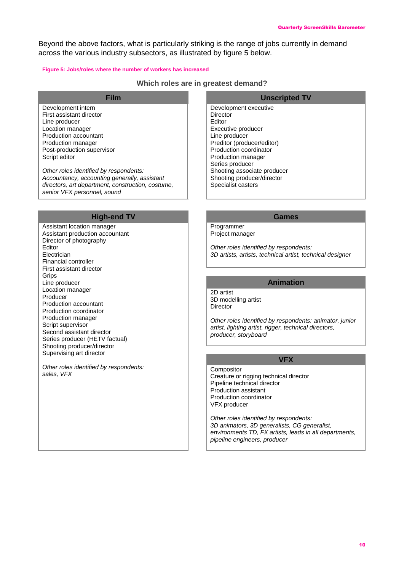Beyond the above factors, what is particularly striking is the range of jobs currently in demand across the various industry subsectors, as illustrated by figure 5 below.

#### **Figure 5: Jobs/roles where the number of workers has increased**

#### **Which roles are in greatest demand?**

Development intern First assistant director Line producer Location manager Production accountant Production manager Post-production supervisor Script editor

*Other roles identified by respondents: Accountancy, accounting generally, assistant directors, art department, construction, costume, senior VFX personnel, sound*

#### **High-end TV Games**

Assistant location manager Assistant production accountant Director of photography Editor Electrician Financial controller First assistant director **Grips** Line producer Location manager Producer Production accountant Production coordinator Production manager Script supervisor Second assistant director Series producer (HETV factual) Shooting producer/director Supervising art director

*Other roles identified by respondents: sales, VFX*

#### **Film Unscripted TV**

Development executive **Director** Editor Executive producer Line producer Preditor (producer/editor) Production coordinator Production manager Series producer Shooting associate producer Shooting producer/director Specialist casters

Programmer Project manager

*Other roles identified by respondents: 3D artists, artists, technical artist, technical designer*

#### **Animation**

2D artist 3D modelling artist **Director** 

*Other roles identified by respondents: animator, junior artist, lighting artist, rigger, technical directors, producer, storyboard*

#### **VFX**

Compositor Creature or rigging technical director Pipeline technical director Production assistant Production coordinator VFX producer

*Other roles identified by respondents: 3D animators, 3D generalists, CG generalist, environments TD, FX artists, leads in all departments, pipeline engineers, producer*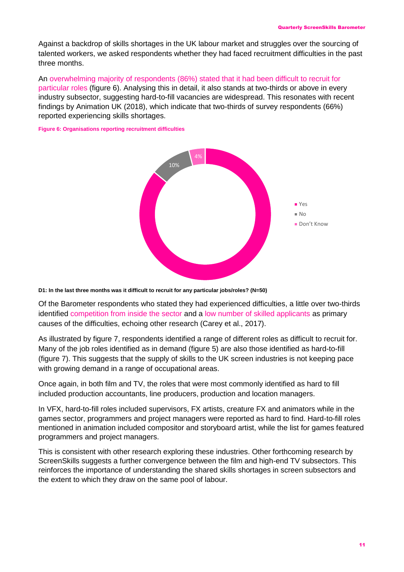Against a backdrop of skills shortages in the UK labour market and struggles over the sourcing of talented workers, we asked respondents whether they had faced recruitment difficulties in the past three months.

An overwhelming majority of respondents (86%) stated that it had been difficult to recruit for particular roles (figure 6). Analysing this in detail, it also stands at two-thirds or above in every industry subsector, suggesting hard-to-fill vacancies are widespread. This resonates with recent findings by Animation UK (2018), which indicate that two-thirds of survey respondents (66%) reported experiencing skills shortages.

**Figure 6: Organisations reporting recruitment difficulties**



**D1: In the last three months was it difficult to recruit for any particular jobs/roles? (N=50)**

Of the Barometer respondents who stated they had experienced difficulties, a little over two-thirds identified competition from inside the sector and a low number of skilled applicants as primary causes of the difficulties, echoing other research (Carey et al., 2017).

As illustrated by figure 7, respondents identified a range of different roles as difficult to recruit for. Many of the job roles identified as in demand (figure 5) are also those identified as hard-to-fill (figure 7). This suggests that the supply of skills to the UK screen industries is not keeping pace with growing demand in a range of occupational areas.

Once again, in both film and TV, the roles that were most commonly identified as hard to fill included production accountants, line producers, production and location managers.

In VFX, hard-to-fill roles included supervisors, FX artists, creature FX and animators while in the games sector, programmers and project managers were reported as hard to find. Hard-to-fill roles mentioned in animation included compositor and storyboard artist, while the list for games featured programmers and project managers.

This is consistent with other research exploring these industries. Other forthcoming research by ScreenSkills suggests a further convergence between the film and high-end TV subsectors. This reinforces the importance of understanding the shared skills shortages in screen subsectors and the extent to which they draw on the same pool of labour.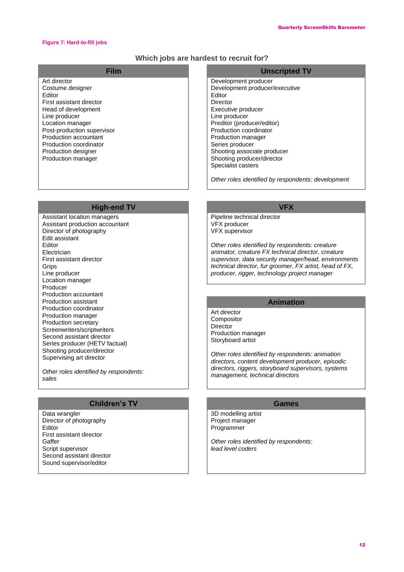#### **Figure 7: Hard-to-fill jobs**

#### **Which jobs are hardest to recruit for?**

| Film                                                                                                                                                                                                                                                             | <b>Unscripted TV</b>                                                                                                                                                                                                                                                                                    |
|------------------------------------------------------------------------------------------------------------------------------------------------------------------------------------------------------------------------------------------------------------------|---------------------------------------------------------------------------------------------------------------------------------------------------------------------------------------------------------------------------------------------------------------------------------------------------------|
| Art director<br>Costume designer<br>Editor<br>First assistant director<br>Head of development<br>Line producer<br>Location manager<br>Post-production supervisor<br>Production accountant<br>Production coordinator<br>Production designer<br>Production manager | Development producer<br>Development producer/executive<br>Editor<br>Director<br>Executive producer<br>Line producer<br>Preditor (producer/editor)<br>Production coordinator<br>Production manager<br>Series producer<br>Shooting associate producer<br>Shooting producer/director<br>Specialist casters |
|                                                                                                                                                                                                                                                                  |                                                                                                                                                                                                                                                                                                         |

*Other roles identified by respondents: development*

#### **High-end TV VFX**

Assistant location managers Assistant production accountant Director of photography Edit assistant Editor Electrician First assistant director **Grips** Line producer Location manager Producer Production accountant Production assistant Production coordinator Production manager Production secretary Screenwriters/scriptwriters Second assistant director Series producer (HETV factual) Shooting producer/director Supervising art director

*Other roles identified by respondents: sales*

#### **Children's TV Games**

Data wrangler Director of photography Editor First assistant director Gaffer Script supervisor Second assistant director Sound supervisor/editor

Pipeline technical director VFX producer VFX supervisor

*Other roles identified by respondents: creature animator, creature FX technical director, creature supervisor, data security manager/head, environments technical director, fur groomer, FX artist, head of FX, producer, rigger, technology project manager*

#### **Animation**

Art director Compositor **Director** Production manager Storyboard artist

*Other roles identified by respondents: animation directors, content development producer, episodic directors, riggers, storyboard supervisors, systems management, technical directors*

3D modelling artist Project manager Programmer

*Other roles identified by respondents: lead level coders*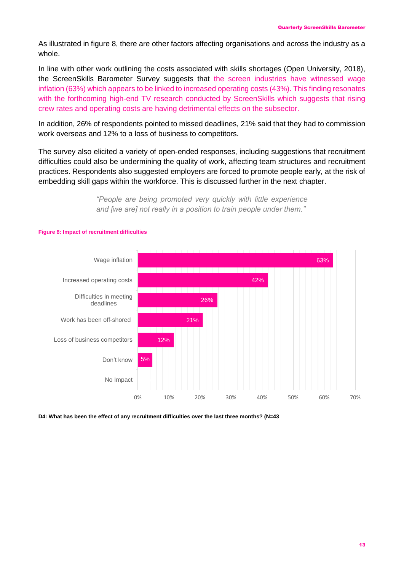As illustrated in figure 8, there are other factors affecting organisations and across the industry as a whole.

In line with other work outlining the costs associated with skills shortages (Open University, 2018), the ScreenSkills Barometer Survey suggests that the screen industries have witnessed wage inflation (63%) which appears to be linked to increased operating costs (43%). This finding resonates with the forthcoming high-end TV research conducted by ScreenSkills which suggests that rising crew rates and operating costs are having detrimental effects on the subsector.

In addition, 26% of respondents pointed to missed deadlines, 21% said that they had to commission work overseas and 12% to a loss of business to competitors.

The survey also elicited a variety of open-ended responses, including suggestions that recruitment difficulties could also be undermining the quality of work, affecting team structures and recruitment practices. Respondents also suggested employers are forced to promote people early, at the risk of embedding skill gaps within the workforce. This is discussed further in the next chapter.

> *"People are being promoted very quickly with little experience and [we are] not really in a position to train people under them."*



#### **Figure 8: Impact of recruitment difficulties**

**D4: What has been the effect of any recruitment difficulties over the last three months? (N=43**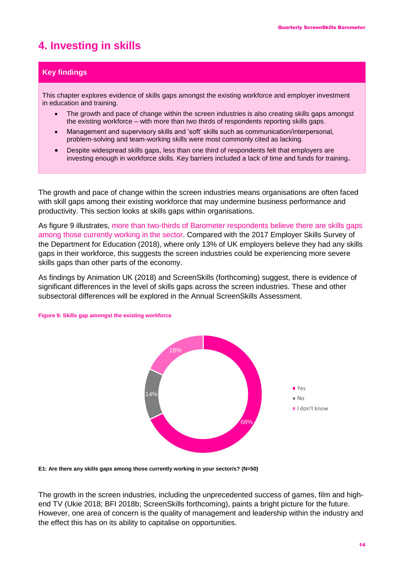# **4. Investing in skills**

#### **Key findings**

This chapter explores evidence of skills gaps amongst the existing workforce and employer investment in education and training.

- The growth and pace of change within the screen industries is also creating skills gaps amongst the existing workforce – with more than two thirds of respondents reporting skills gaps.
- Management and supervisory skills and 'soft' skills such as communication/interpersonal, problem-solving and team-working skills were most commonly cited as lacking.
- Despite widespread skills gaps, less than one third of respondents felt that employers are investing enough in workforce skills. Key barriers included a lack of time and funds for training**.**

The growth and pace of change within the screen industries means organisations are often faced with skill gaps among their existing workforce that may undermine business performance and productivity. This section looks at skills gaps within organisations.

As figure 9 illustrates, more than two-thirds of Barometer respondents believe there are skills gaps among those currently working in the sector. Compared with the 2017 Employer Skills Survey of the Department for Education (2018), where only 13% of UK employers believe they had any skills gaps in their workforce, this suggests the screen industries could be experiencing more severe skills gaps than other parts of the economy.

As findings by Animation UK (2018) and ScreenSkills (forthcoming) suggest, there is evidence of significant differences in the level of skills gaps across the screen industries. These and other subsectoral differences will be explored in the Annual ScreenSkills Assessment.



#### **Figure 9: Skills gap amongst the existing workforce**

**E1: Are there any skills gaps among those currently working in your sector/s? (N=50)**

The growth in the screen industries, including the unprecedented success of games, film and highend TV (Ukie 2018; BFI 2018b; ScreenSkills forthcoming), paints a bright picture for the future. However, one area of concern is the quality of management and leadership within the industry and the effect this has on its ability to capitalise on opportunities.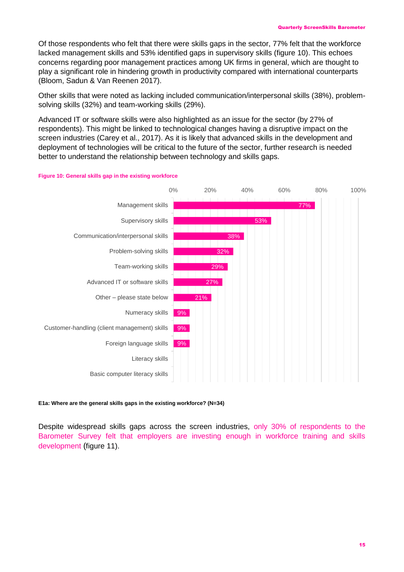Of those respondents who felt that there were skills gaps in the sector, 77% felt that the workforce lacked management skills and 53% identified gaps in supervisory skills (figure 10). This echoes concerns regarding poor management practices among UK firms in general, which are thought to play a significant role in hindering growth in productivity compared with international counterparts (Bloom, Sadun & Van Reenen 2017).

Other skills that were noted as lacking included communication/interpersonal skills (38%), problemsolving skills (32%) and team-working skills (29%).

Advanced IT or software skills were also highlighted as an issue for the sector (by 27% of respondents). This might be linked to technological changes having a disruptive impact on the screen industries (Carey et al., 2017). As it is likely that advanced skills in the development and deployment of technologies will be critical to the future of the sector, further research is needed better to understand the relationship between technology and skills gaps.



#### **Figure 10: General skills gap in the existing workforce**

#### **E1a: Where are the general skills gaps in the existing workforce? (N=34)**

Despite widespread skills gaps across the screen industries, only 30% of respondents to the Barometer Survey felt that employers are investing enough in workforce training and skills development (figure 11).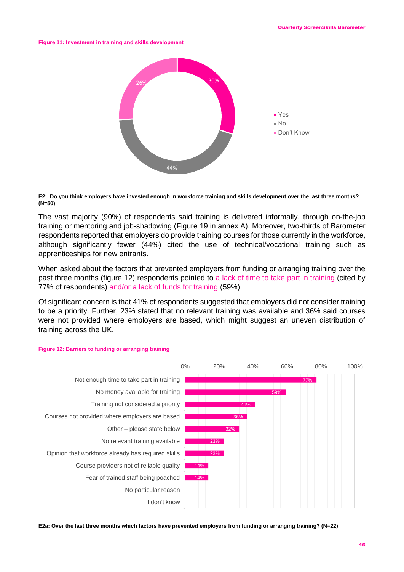**Figure 11: Investment in training and skills development**



#### **E2: Do you think employers have invested enough in workforce training and skills development over the last three months? (N=50)**

The vast majority (90%) of respondents said training is delivered informally, through on-the-job training or mentoring and job-shadowing (Figure 19 in annex A). Moreover, two-thirds of Barometer respondents reported that employers do provide training courses for those currently in the workforce, although significantly fewer (44%) cited the use of technical/vocational training such as apprenticeships for new entrants.

When asked about the factors that prevented employers from funding or arranging training over the past three months (figure 12) respondents pointed to a lack of time to take part in training (cited by 77% of respondents) and/or a lack of funds for training (59%).

Of significant concern is that 41% of respondents suggested that employers did not consider training to be a priority. Further, 23% stated that no relevant training was available and 36% said courses were not provided where employers are based, which might suggest an uneven distribution of training across the UK.



#### **Figure 12: Barriers to funding or arranging training**

**E2a: Over the last three months which factors have prevented employers from funding or arranging training? (N=22)**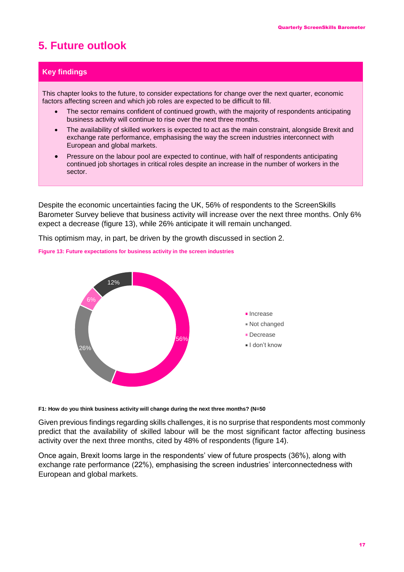# **5. Future outlook**

#### **Key findings**

This chapter looks to the future, to consider expectations for change over the next quarter, economic factors affecting screen and which job roles are expected to be difficult to fill.

- The sector remains confident of continued growth, with the majority of respondents anticipating business activity will continue to rise over the next three months.
- The availability of skilled workers is expected to act as the main constraint, alongside Brexit and exchange rate performance, emphasising the way the screen industries interconnect with European and global markets.
- Pressure on the labour pool are expected to continue, with half of respondents anticipating continued job shortages in critical roles despite an increase in the number of workers in the sector.

Despite the economic uncertainties facing the UK, 56% of respondents to the ScreenSkills Barometer Survey believe that business activity will increase over the next three months. Only 6% expect a decrease (figure 13), while 26% anticipate it will remain unchanged.

This optimism may, in part, be driven by the growth discussed in section 2.

**Figure 13: Future expectations for business activity in the screen industries**



**F1: How do you think business activity will change during the next three months? (N=50**

Given previous findings regarding skills challenges, it is no surprise that respondents most commonly predict that the availability of skilled labour will be the most significant factor affecting business activity over the next three months, cited by 48% of respondents (figure 14).

Once again, Brexit looms large in the respondents' view of future prospects (36%), along with exchange rate performance (22%), emphasising the screen industries' interconnectedness with European and global markets.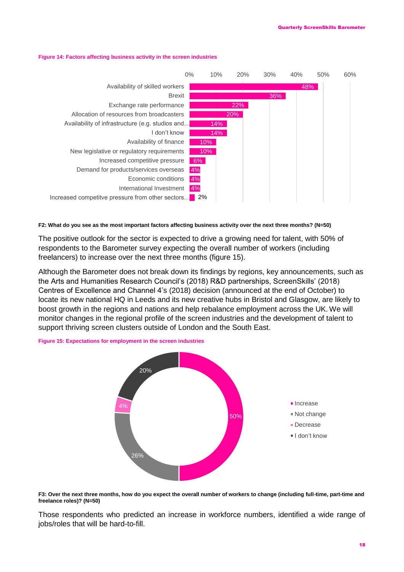



#### **F2: What do you see as the most important factors affecting business activity over the next three months? (N=50)**

The positive outlook for the sector is expected to drive a growing need for talent, with 50% of respondents to the Barometer survey expecting the overall number of workers (including freelancers) to increase over the next three months (figure 15).

Although the Barometer does not break down its findings by regions, key announcements, such as the Arts and Humanities Research Council's (2018) R&D partnerships, ScreenSkills' (2018) Centres of Excellence and Channel 4's (2018) decision (announced at the end of October) to locate its new national HQ in Leeds and its new creative hubs in Bristol and Glasgow, are likely to boost growth in the regions and nations and help rebalance employment across the UK. We will monitor changes in the regional profile of the screen industries and the development of talent to support thriving screen clusters outside of London and the South East.





**F3: Over the next three months, how do you expect the overall number of workers to change (including full-time, part-time and freelance roles)? (N=50)**

Those respondents who predicted an increase in workforce numbers, identified a wide range of jobs/roles that will be hard-to-fill.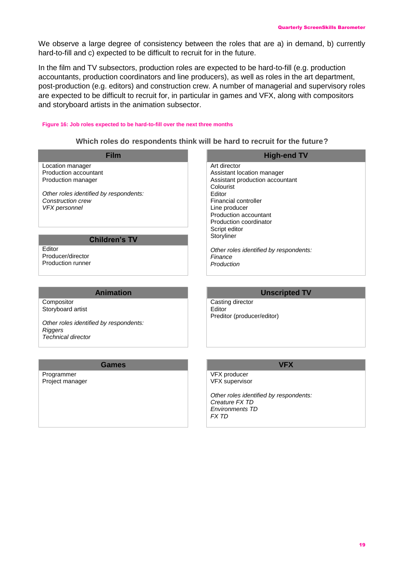We observe a large degree of consistency between the roles that are a) in demand, b) currently hard-to-fill and c) expected to be difficult to recruit for in the future.

In the film and TV subsectors, production roles are expected to be hard-to-fill (e.g. production accountants, production coordinators and line producers), as well as roles in the art department, post-production (e.g. editors) and construction crew. A number of managerial and supervisory roles are expected to be difficult to recruit for, in particular in games and VFX, along with compositors and storyboard artists in the animation subsector.

#### **Figure 16: Job roles expected to be hard-to-fill over the next three months**

#### **Which roles do respondents think will be hard to recruit for the future?**

| <b>Film</b>                                 | <b>High-end TV</b>                                       |  |
|---------------------------------------------|----------------------------------------------------------|--|
| Location manager                            | Art director                                             |  |
| Production accountant                       | Assistant location manager                               |  |
| Production manager                          | Assistant production accountant                          |  |
|                                             | Colourist                                                |  |
| Other roles identified by respondents:      | Editor                                                   |  |
| Construction crew                           | <b>Financial controller</b>                              |  |
| <b>VFX</b> personnel                        | Line producer                                            |  |
|                                             | Production accountant                                    |  |
|                                             | Production coordinator                                   |  |
|                                             | Script editor                                            |  |
| <b>Children's TV</b>                        | Storyliner                                               |  |
| Editor                                      |                                                          |  |
| Producer/director                           | Other roles identified by respondents:<br>Finance        |  |
| <b>Production runner</b>                    | Production                                               |  |
|                                             |                                                          |  |
| <b>Animation</b>                            |                                                          |  |
|                                             | <b>Unscripted TV</b>                                     |  |
| Compositor                                  | Casting director                                         |  |
| Storyboard artist                           | Editor                                                   |  |
|                                             | Preditor (producer/editor)                               |  |
| Other roles identified by respondents:      |                                                          |  |
| <b>Riggers</b><br><b>Technical director</b> |                                                          |  |
|                                             |                                                          |  |
|                                             |                                                          |  |
| <b>Games</b>                                | <b>VFX</b>                                               |  |
| Programmer                                  | VFX producer                                             |  |
| Project manager                             | <b>VFX</b> supervisor                                    |  |
|                                             |                                                          |  |
|                                             | Other roles identified by respondents:<br>Creature FX TD |  |
|                                             |                                                          |  |
|                                             | <b>Environments TD</b><br><b>FX TD</b>                   |  |
|                                             |                                                          |  |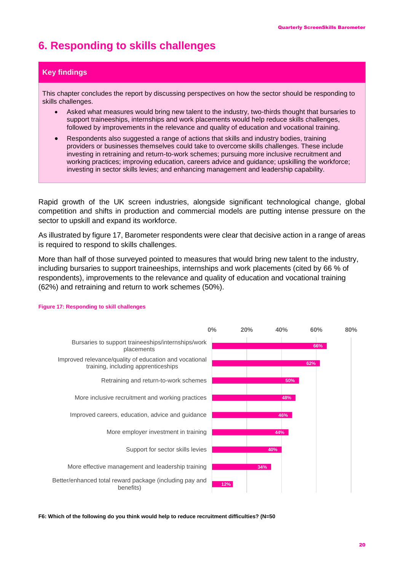# **6. Responding to skills challenges**

#### **Key findings**

This chapter concludes the report by discussing perspectives on how the sector should be responding to skills challenges.

- Asked what measures would bring new talent to the industry, two-thirds thought that bursaries to support traineeships, internships and work placements would help reduce skills challenges, followed by improvements in the relevance and quality of education and vocational training.
- Respondents also suggested a range of actions that skills and industry bodies, training providers or businesses themselves could take to overcome skills challenges. These include investing in retraining and return-to-work schemes; pursuing more inclusive recruitment and working practices; improving education, careers advice and guidance; upskilling the workforce; investing in sector skills levies; and enhancing management and leadership capability.

Rapid growth of the UK screen industries, alongside significant technological change, global competition and shifts in production and commercial models are putting intense pressure on the sector to upskill and expand its workforce.

As illustrated by figure 17, Barometer respondents were clear that decisive action in a range of areas is required to respond to skills challenges.

More than half of those surveyed pointed to measures that would bring new talent to the industry, including bursaries to support traineeships, internships and work placements (cited by 66 % of respondents), improvements to the relevance and quality of education and vocational training (62%) and retraining and return to work schemes (50%).



#### **Figure 17: Responding to skill challenges**

**F6: Which of the following do you think would help to reduce recruitment difficulties? (N=50**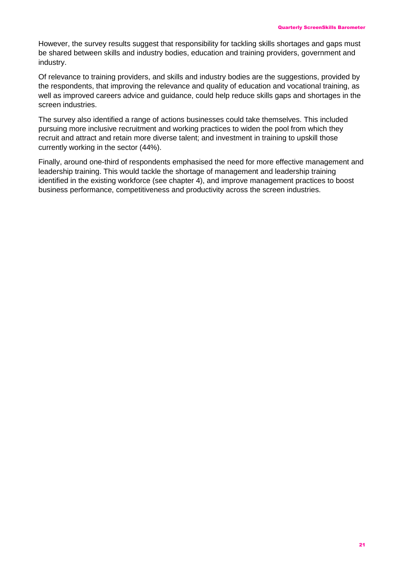However, the survey results suggest that responsibility for tackling skills shortages and gaps must be shared between skills and industry bodies, education and training providers, government and industry.

Of relevance to training providers, and skills and industry bodies are the suggestions, provided by the respondents, that improving the relevance and quality of education and vocational training, as well as improved careers advice and guidance, could help reduce skills gaps and shortages in the screen industries.

The survey also identified a range of actions businesses could take themselves. This included pursuing more inclusive recruitment and working practices to widen the pool from which they recruit and attract and retain more diverse talent; and investment in training to upskill those currently working in the sector (44%).

Finally, around one-third of respondents emphasised the need for more effective management and leadership training. This would tackle the shortage of management and leadership training identified in the existing workforce (see chapter 4), and improve management practices to boost business performance, competitiveness and productivity across the screen industries.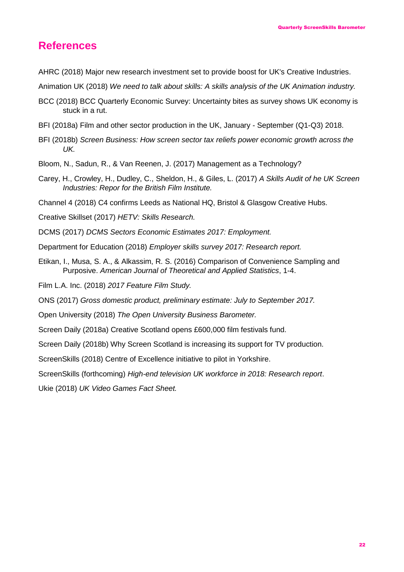# **References**

- AHRC (2018) Major new research investment set to provide boost for UK's Creative Industries.
- Animation UK (2018) *We need to talk about skills: A skills analysis of the UK Animation industry.*
- BCC (2018) BCC Quarterly Economic Survey: Uncertainty bites as survey shows UK economy is stuck in a rut.
- BFI (2018a) Film and other sector production in the UK, January September (Q1-Q3) 2018.
- BFI (2018b) *Screen Business: How screen sector tax reliefs power economic growth across the UK.*
- Bloom, N., Sadun, R., & Van Reenen, J. (2017) Management as a Technology?
- Carey, H., Crowley, H., Dudley, C., Sheldon, H., & Giles, L. (2017) *A Skills Audit of he UK Screen Industries: Repor for the British Film Institute.*
- Channel 4 (2018) C4 confirms Leeds as National HQ, Bristol & Glasgow Creative Hubs.

Creative Skillset (2017) *HETV: Skills Research.*

DCMS (2017) *DCMS Sectors Economic Estimates 2017: Employment.*

- Department for Education (2018) *Employer skills survey 2017: Research report.*
- Etikan, I., Musa, S. A., & Alkassim, R. S. (2016) Comparison of Convenience Sampling and Purposive. *American Journal of Theoretical and Applied Statistics*, 1-4.

Film L.A. Inc. (2018) *2017 Feature Film Study.*

ONS (2017) *Gross domestic product, preliminary estimate: July to September 2017.*

Open University (2018) *The Open University Business Barometer.*

Screen Daily (2018a) Creative Scotland opens £600,000 film festivals fund.

Screen Daily (2018b) Why Screen Scotland is increasing its support for TV production.

ScreenSkills (2018) Centre of Excellence initiative to pilot in Yorkshire.

ScreenSkills (forthcoming) *High-end television UK workforce in 2018: Research report*.

Ukie (2018) *UK Video Games Fact Sheet.*